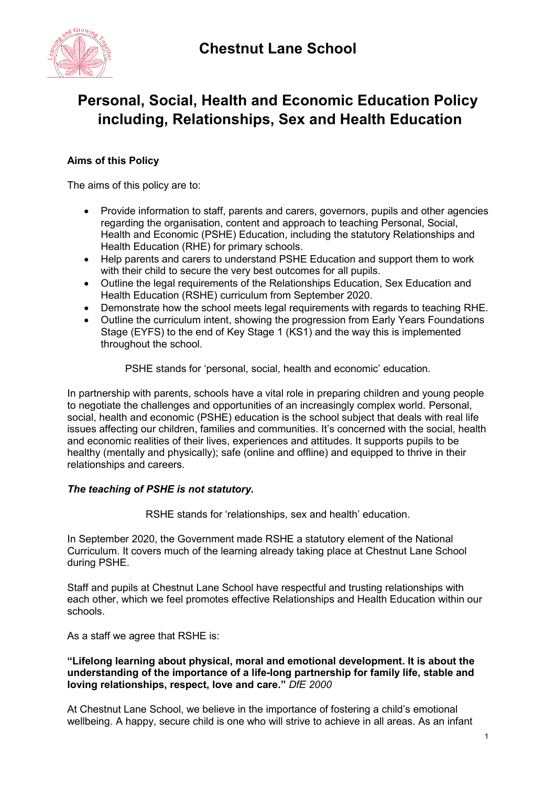

# **Personal, Social, Health and Economic Education Policy including, Relationships, Sex and Health Education**

### **Aims of this Policy**

The aims of this policy are to:

- Provide information to staff, parents and carers, governors, pupils and other agencies regarding the organisation, content and approach to teaching Personal, Social, Health and Economic (PSHE) Education, including the statutory Relationships and Health Education (RHE) for primary schools.
- Help parents and carers to understand PSHE Education and support them to work with their child to secure the very best outcomes for all pupils.
- Outline the legal requirements of the Relationships Education, Sex Education and Health Education (RSHE) curriculum from September 2020.
- Demonstrate how the school meets legal requirements with regards to teaching RHE.
- Outline the curriculum intent, showing the progression from Early Years Foundations Stage (EYFS) to the end of Key Stage 1 (KS1) and the way this is implemented throughout the school.

PSHE stands for 'personal, social, health and economic' education.

In partnership with parents, schools have a vital role in preparing children and young people to negotiate the challenges and opportunities of an increasingly complex world. Personal, social, health and economic (PSHE) education is the school subject that deals with real life issues affecting our children, families and communities. It's concerned with the social, health and economic realities of their lives, experiences and attitudes. It supports pupils to be healthy (mentally and physically); safe (online and offline) and equipped to thrive in their relationships and careers.

#### *The teaching of PSHE is not statutory.*

RSHE stands for 'relationships, sex and health' education.

In September 2020, the Government made RSHE a statutory element of the National Curriculum. It covers much of the learning already taking place at Chestnut Lane School during PSHE.

Staff and pupils at Chestnut Lane School have respectful and trusting relationships with each other, which we feel promotes effective Relationships and Health Education within our schools.

As a staff we agree that RSHE is:

#### **"Lifelong learning about physical, moral and emotional development. It is about the understanding of the importance of a life-long partnership for family life, stable and loving relationships, respect, love and care."** *DfE 2000*

At Chestnut Lane School, we believe in the importance of fostering a child's emotional wellbeing. A happy, secure child is one who will strive to achieve in all areas. As an infant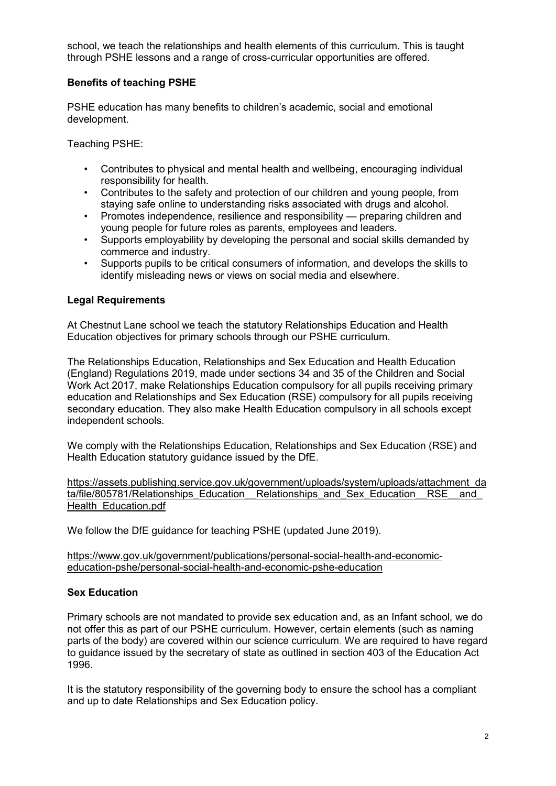school, we teach the relationships and health elements of this curriculum. This is taught through PSHE lessons and a range of cross-curricular opportunities are offered.

#### **Benefits of teaching PSHE**

PSHE education has many benefits to children's academic, social and emotional development.

Teaching PSHE:

- Contributes to physical and mental health and wellbeing, encouraging individual responsibility for health.
- Contributes to the safety and protection of our children and young people, from staying safe online to understanding risks associated with drugs and alcohol.
- Promotes independence, resilience and responsibility preparing children and young people for future roles as parents, employees and leaders.
- Supports employability by developing the personal and social skills demanded by commerce and industry.
- Supports pupils to be critical consumers of information, and develops the skills to identify misleading news or views on social media and elsewhere.

#### **Legal Requirements**

At Chestnut Lane school we teach the statutory Relationships Education and Health Education objectives for primary schools through our PSHE curriculum.

The Relationships Education, Relationships and Sex Education and Health Education (England) Regulations 2019, made under sections 34 and 35 of the Children and Social Work Act 2017, make Relationships Education compulsory for all pupils receiving primary education and Relationships and Sex Education (RSE) compulsory for all pupils receiving secondary education. They also make Health Education compulsory in all schools except independent schools.

We comply with the Relationships Education, Relationships and Sex Education (RSE) and Health Education statutory guidance issued by the DfE.

[https://assets.publishing.service.gov.uk/government/uploads/system/uploads/attachment\\_da](https://assets.publishing.service.gov.uk/government/uploads/system/uploads/attachment_data/file/805781/Relationships_Education__Relationships_and_Sex_Education__RSE__and_Health_Education.pdf) ta/file/805781/Relationships\_Education\_Relationships\_and\_Sex\_Education\_RSE\_\_and [Health\\_Education.pdf](https://assets.publishing.service.gov.uk/government/uploads/system/uploads/attachment_data/file/805781/Relationships_Education__Relationships_and_Sex_Education__RSE__and_Health_Education.pdf)

We follow the DfE quidance for teaching PSHE (updated June 2019).

[https://www.gov.uk/government/publications/personal-social-health-and-economic](https://www.gov.uk/government/publications/personal-social-health-and-economic-education-pshe/personal-social-health-and-economic-pshe-education)[education-pshe/personal-social-health-and-economic-pshe-education](https://www.gov.uk/government/publications/personal-social-health-and-economic-education-pshe/personal-social-health-and-economic-pshe-education)

#### **Sex Education**

Primary schools are not mandated to provide sex education and, as an Infant school, we do not offer this as part of our PSHE curriculum. However, certain elements (such as naming parts of the body) are covered within our science curriculum. We are required to have regard to guidance issued by the secretary of state as outlined in section 403 of the Education Act 1996.

It is the statutory responsibility of the governing body to ensure the school has a compliant and up to date Relationships and Sex Education policy.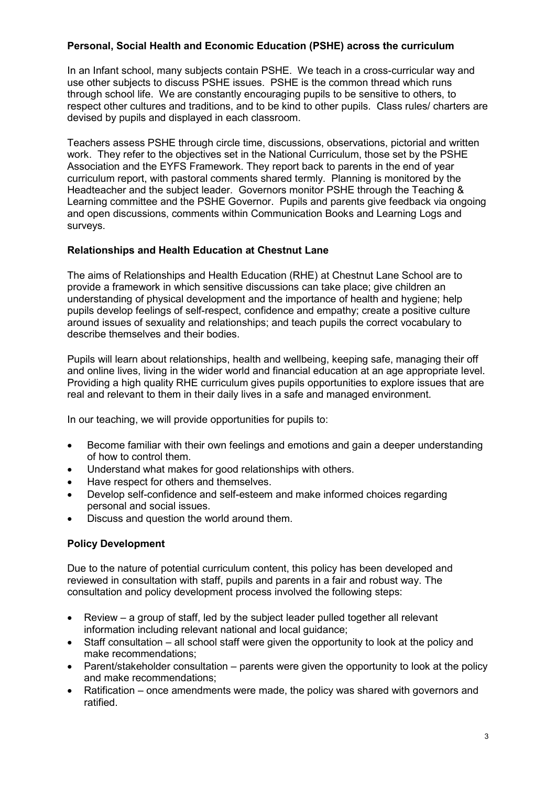### **Personal, Social Health and Economic Education (PSHE) across the curriculum**

In an Infant school, many subjects contain PSHE. We teach in a cross-curricular way and use other subjects to discuss PSHE issues. PSHE is the common thread which runs through school life. We are constantly encouraging pupils to be sensitive to others, to respect other cultures and traditions, and to be kind to other pupils. Class rules/ charters are devised by pupils and displayed in each classroom.

Teachers assess PSHE through circle time, discussions, observations, pictorial and written work. They refer to the objectives set in the National Curriculum, those set by the PSHE Association and the EYFS Framework. They report back to parents in the end of year curriculum report, with pastoral comments shared termly. Planning is monitored by the Headteacher and the subject leader. Governors monitor PSHE through the Teaching & Learning committee and the PSHE Governor. Pupils and parents give feedback via ongoing and open discussions, comments within Communication Books and Learning Logs and surveys.

#### **Relationships and Health Education at Chestnut Lane**

The aims of Relationships and Health Education (RHE) at Chestnut Lane School are to provide a framework in which sensitive discussions can take place; give children an understanding of physical development and the importance of health and hygiene; help pupils develop feelings of self-respect, confidence and empathy; create a positive culture around issues of sexuality and relationships; and teach pupils the correct vocabulary to describe themselves and their bodies.

Pupils will learn about relationships, health and wellbeing, keeping safe, managing their off and online lives, living in the wider world and financial education at an age appropriate level. Providing a high quality RHE curriculum gives pupils opportunities to explore issues that are real and relevant to them in their daily lives in a safe and managed environment.

In our teaching, we will provide opportunities for pupils to:

- Become familiar with their own feelings and emotions and gain a deeper understanding of how to control them.
- Understand what makes for good relationships with others.
- Have respect for others and themselves.
- Develop self-confidence and self-esteem and make informed choices regarding personal and social issues.
- Discuss and question the world around them.

#### **Policy Development**

Due to the nature of potential curriculum content, this policy has been developed and reviewed in consultation with staff, pupils and parents in a fair and robust way. The consultation and policy development process involved the following steps:

- Review a group of staff, led by the subject leader pulled together all relevant information including relevant national and local guidance;
- Staff consultation all school staff were given the opportunity to look at the policy and make recommendations;
- Parent/stakeholder consultation parents were given the opportunity to look at the policy and make recommendations;
- Ratification once amendments were made, the policy was shared with governors and ratified.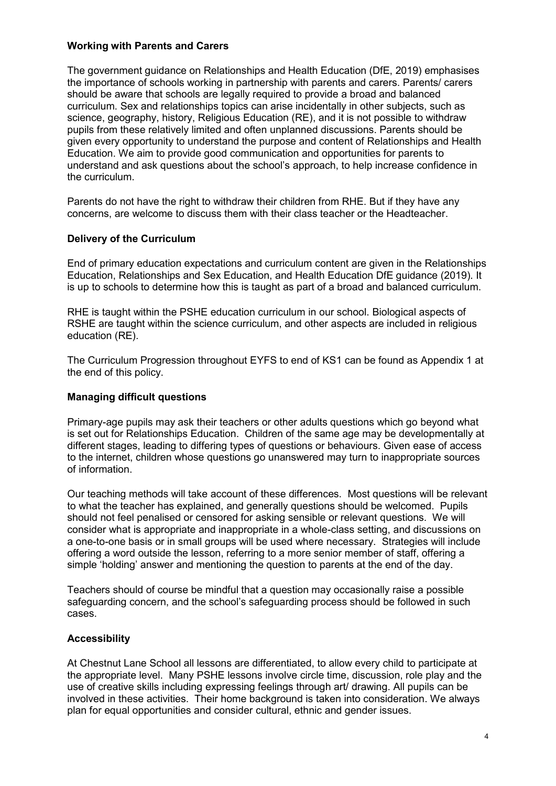#### **Working with Parents and Carers**

The government guidance on Relationships and Health Education (DfE, 2019) emphasises the importance of schools working in partnership with parents and carers. Parents/ carers should be aware that schools are legally required to provide a broad and balanced curriculum. Sex and relationships topics can arise incidentally in other subjects, such as science, geography, history, Religious Education (RE), and it is not possible to withdraw pupils from these relatively limited and often unplanned discussions. Parents should be given every opportunity to understand the purpose and content of Relationships and Health Education. We aim to provide good communication and opportunities for parents to understand and ask questions about the school's approach, to help increase confidence in the curriculum.

Parents do not have the right to withdraw their children from RHE. But if they have any concerns, are welcome to discuss them with their class teacher or the Headteacher.

#### **Delivery of the Curriculum**

End of primary education expectations and curriculum content are given in the Relationships Education, Relationships and Sex Education, and Health Education DfE guidance (2019). It is up to schools to determine how this is taught as part of a broad and balanced curriculum.

RHE is taught within the PSHE education curriculum in our school. Biological aspects of RSHE are taught within the science curriculum, and other aspects are included in religious education (RE).

The Curriculum Progression throughout EYFS to end of KS1 can be found as Appendix 1 at the end of this policy.

#### **Managing difficult questions**

Primary-age pupils may ask their teachers or other adults questions which go beyond what is set out for Relationships Education. Children of the same age may be developmentally at different stages, leading to differing types of questions or behaviours. Given ease of access to the internet, children whose questions go unanswered may turn to inappropriate sources of information.

Our teaching methods will take account of these differences. Most questions will be relevant to what the teacher has explained, and generally questions should be welcomed. Pupils should not feel penalised or censored for asking sensible or relevant questions. We will consider what is appropriate and inappropriate in a whole-class setting, and discussions on a one-to-one basis or in small groups will be used where necessary. Strategies will include offering a word outside the lesson, referring to a more senior member of staff, offering a simple 'holding' answer and mentioning the question to parents at the end of the day.

Teachers should of course be mindful that a question may occasionally raise a possible safeguarding concern, and the school's safeguarding process should be followed in such cases.

#### **Accessibility**

At Chestnut Lane School all lessons are differentiated, to allow every child to participate at the appropriate level. Many PSHE lessons involve circle time, discussion, role play and the use of creative skills including expressing feelings through art/ drawing. All pupils can be involved in these activities. Their home background is taken into consideration. We always plan for equal opportunities and consider cultural, ethnic and gender issues.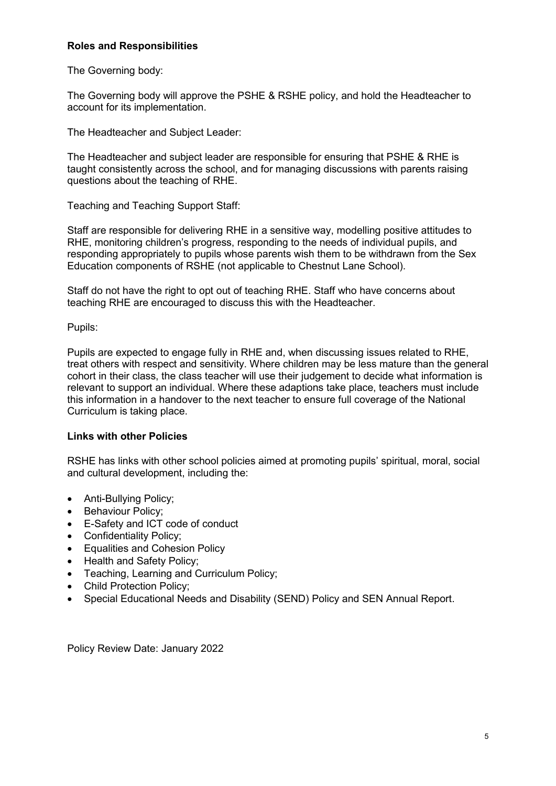#### **Roles and Responsibilities**

The Governing body:

The Governing body will approve the PSHE & RSHE policy, and hold the Headteacher to account for its implementation.

The Headteacher and Subject Leader:

The Headteacher and subject leader are responsible for ensuring that PSHE & RHE is taught consistently across the school, and for managing discussions with parents raising questions about the teaching of RHE.

Teaching and Teaching Support Staff:

Staff are responsible for delivering RHE in a sensitive way, modelling positive attitudes to RHE, monitoring children's progress, responding to the needs of individual pupils, and responding appropriately to pupils whose parents wish them to be withdrawn from the Sex Education components of RSHE (not applicable to Chestnut Lane School).

Staff do not have the right to opt out of teaching RHE. Staff who have concerns about teaching RHE are encouraged to discuss this with the Headteacher.

Pupils:

Pupils are expected to engage fully in RHE and, when discussing issues related to RHE, treat others with respect and sensitivity. Where children may be less mature than the general cohort in their class, the class teacher will use their judgement to decide what information is relevant to support an individual. Where these adaptions take place, teachers must include this information in a handover to the next teacher to ensure full coverage of the National Curriculum is taking place.

#### **Links with other Policies**

RSHE has links with other school policies aimed at promoting pupils' spiritual, moral, social and cultural development, including the:

- Anti-Bullving Policy:
- Behaviour Policy;
- E-Safety and ICT code of conduct
- Confidentiality Policy;
- Equalities and Cohesion Policy
- Health and Safety Policy;
- Teaching, Learning and Curriculum Policy;
- Child Protection Policy;
- Special Educational Needs and Disability (SEND) Policy and SEN Annual Report.

Policy Review Date: January 2022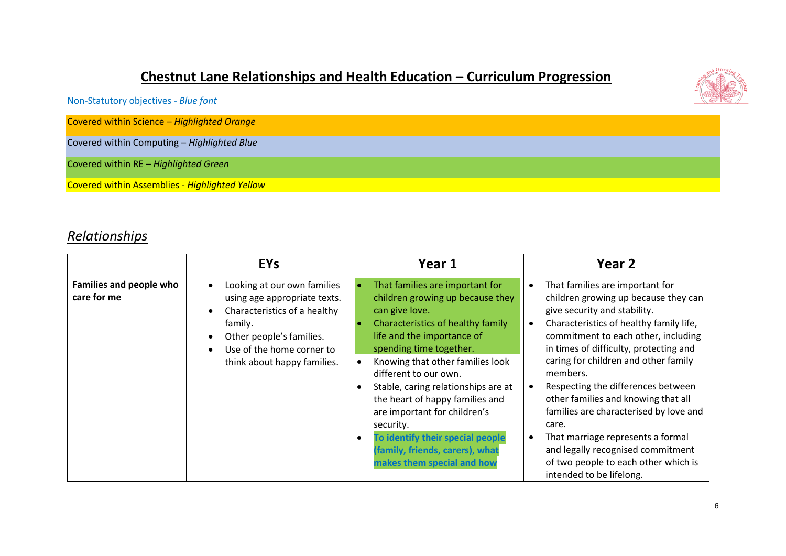## **Chestnut Lane Relationships and Health Education – Curriculum Progression**



Covered within Science – *Highlighted Orange*

Covered within Computing – *Highlighted Blue*

Covered within RE – *Highlighted Green*

Covered within Assemblies - *Highlighted Yellow*

### *Relationships*

|                                        | <b>EYs</b>                                                                                                                                                                                                                            | Year 1                                                                                                                                                                                                                                                                                                                                                                                                                                                                       | Year 2                                                                                                                                                                                                                                                                                                                                                                                                                                                                                                                                                                |
|----------------------------------------|---------------------------------------------------------------------------------------------------------------------------------------------------------------------------------------------------------------------------------------|------------------------------------------------------------------------------------------------------------------------------------------------------------------------------------------------------------------------------------------------------------------------------------------------------------------------------------------------------------------------------------------------------------------------------------------------------------------------------|-----------------------------------------------------------------------------------------------------------------------------------------------------------------------------------------------------------------------------------------------------------------------------------------------------------------------------------------------------------------------------------------------------------------------------------------------------------------------------------------------------------------------------------------------------------------------|
| Families and people who<br>care for me | Looking at our own families<br>$\bullet$<br>using age appropriate texts.<br>Characteristics of a healthy<br>$\bullet$<br>family.<br>Other people's families.<br>$\bullet$<br>Use of the home corner to<br>think about happy families. | That families are important for<br>children growing up because they<br>can give love.<br>Characteristics of healthy family<br>life and the importance of<br>spending time together.<br>Knowing that other families look<br>different to our own.<br>Stable, caring relationships are at<br>the heart of happy families and<br>are important for children's<br>security.<br>To identify their special people<br>(family, friends, carers), what<br>makes them special and how | That families are important for<br>children growing up because they can<br>give security and stability.<br>Characteristics of healthy family life,<br>commitment to each other, including<br>in times of difficulty, protecting and<br>caring for children and other family<br>members.<br>Respecting the differences between<br>other families and knowing that all<br>families are characterised by love and<br>care.<br>That marriage represents a formal<br>and legally recognised commitment<br>of two people to each other which is<br>intended to be lifelong. |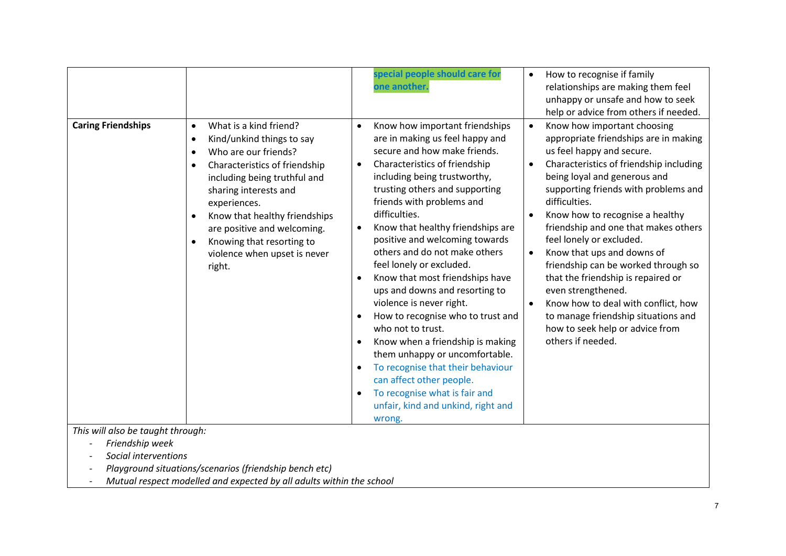|                           |                                                                                                                                                                                                                                                                                                                                                        | special people should care for<br>one another.                                                                                                                                                                                                                                                                                                                                                                                                                                                                                                                                                                                                                                                                                                                                                                   | How to recognise if family<br>$\bullet$<br>relationships are making them feel<br>unhappy or unsafe and how to seek<br>help or advice from others if needed.                                                                                                                                                                                                                                                                                                                                                                                                                                                                                                             |
|---------------------------|--------------------------------------------------------------------------------------------------------------------------------------------------------------------------------------------------------------------------------------------------------------------------------------------------------------------------------------------------------|------------------------------------------------------------------------------------------------------------------------------------------------------------------------------------------------------------------------------------------------------------------------------------------------------------------------------------------------------------------------------------------------------------------------------------------------------------------------------------------------------------------------------------------------------------------------------------------------------------------------------------------------------------------------------------------------------------------------------------------------------------------------------------------------------------------|-------------------------------------------------------------------------------------------------------------------------------------------------------------------------------------------------------------------------------------------------------------------------------------------------------------------------------------------------------------------------------------------------------------------------------------------------------------------------------------------------------------------------------------------------------------------------------------------------------------------------------------------------------------------------|
| <b>Caring Friendships</b> | What is a kind friend?<br>$\bullet$<br>Kind/unkind things to say<br>$\bullet$<br>Who are our friends?<br>Characteristics of friendship<br>including being truthful and<br>sharing interests and<br>experiences.<br>Know that healthy friendships<br>are positive and welcoming.<br>Knowing that resorting to<br>violence when upset is never<br>right. | Know how important friendships<br>$\bullet$<br>are in making us feel happy and<br>secure and how make friends.<br>Characteristics of friendship<br>$\bullet$<br>including being trustworthy,<br>trusting others and supporting<br>friends with problems and<br>difficulties.<br>Know that healthy friendships are<br>$\bullet$<br>positive and welcoming towards<br>others and do not make others<br>feel lonely or excluded.<br>Know that most friendships have<br>ups and downs and resorting to<br>violence is never right.<br>How to recognise who to trust and<br>who not to trust.<br>Know when a friendship is making<br>them unhappy or uncomfortable.<br>To recognise that their behaviour<br>can affect other people.<br>To recognise what is fair and<br>unfair, kind and unkind, right and<br>wrong. | Know how important choosing<br>$\bullet$<br>appropriate friendships are in making<br>us feel happy and secure.<br>Characteristics of friendship including<br>$\bullet$<br>being loyal and generous and<br>supporting friends with problems and<br>difficulties.<br>Know how to recognise a healthy<br>friendship and one that makes others<br>feel lonely or excluded.<br>Know that ups and downs of<br>$\bullet$<br>friendship can be worked through so<br>that the friendship is repaired or<br>even strengthened.<br>Know how to deal with conflict, how<br>$\bullet$<br>to manage friendship situations and<br>how to seek help or advice from<br>others if needed. |

*This will also be taught through:*

- *Friendship week*
- *Social interventions*
- *Playground situations/scenarios (friendship bench etc)*
- *Mutual respect modelled and expected by all adults within the school*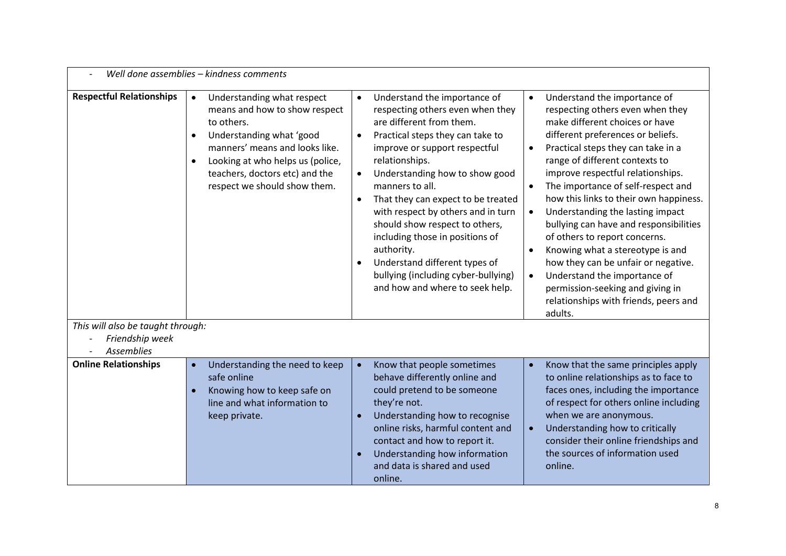| Well done assemblies - kindness comments                             |                                                                                                                                                                                                                                                                                      |                                                                                                                                                                                                                                                                                                                                                                                                                                                                                                                                                                        |                                                                                                                                                                                                                                                                                                                                                                                                                                                                                                                                                                                                                                                                                                                                      |  |
|----------------------------------------------------------------------|--------------------------------------------------------------------------------------------------------------------------------------------------------------------------------------------------------------------------------------------------------------------------------------|------------------------------------------------------------------------------------------------------------------------------------------------------------------------------------------------------------------------------------------------------------------------------------------------------------------------------------------------------------------------------------------------------------------------------------------------------------------------------------------------------------------------------------------------------------------------|--------------------------------------------------------------------------------------------------------------------------------------------------------------------------------------------------------------------------------------------------------------------------------------------------------------------------------------------------------------------------------------------------------------------------------------------------------------------------------------------------------------------------------------------------------------------------------------------------------------------------------------------------------------------------------------------------------------------------------------|--|
| <b>Respectful Relationships</b><br>This will also be taught through: | Understanding what respect<br>$\bullet$<br>means and how to show respect<br>to others.<br>Understanding what 'good<br>$\bullet$<br>manners' means and looks like.<br>Looking at who helps us (police,<br>$\bullet$<br>teachers, doctors etc) and the<br>respect we should show them. | Understand the importance of<br>$\bullet$<br>respecting others even when they<br>are different from them.<br>Practical steps they can take to<br>$\bullet$<br>improve or support respectful<br>relationships.<br>Understanding how to show good<br>$\bullet$<br>manners to all.<br>That they can expect to be treated<br>$\bullet$<br>with respect by others and in turn<br>should show respect to others,<br>including those in positions of<br>authority.<br>Understand different types of<br>bullying (including cyber-bullying)<br>and how and where to seek help. | Understand the importance of<br>$\bullet$<br>respecting others even when they<br>make different choices or have<br>different preferences or beliefs.<br>Practical steps they can take in a<br>$\bullet$<br>range of different contexts to<br>improve respectful relationships.<br>The importance of self-respect and<br>$\bullet$<br>how this links to their own happiness.<br>Understanding the lasting impact<br>$\bullet$<br>bullying can have and responsibilities<br>of others to report concerns.<br>Knowing what a stereotype is and<br>$\bullet$<br>how they can be unfair or negative.<br>Understand the importance of<br>$\bullet$<br>permission-seeking and giving in<br>relationships with friends, peers and<br>adults. |  |
| Friendship week                                                      |                                                                                                                                                                                                                                                                                      |                                                                                                                                                                                                                                                                                                                                                                                                                                                                                                                                                                        |                                                                                                                                                                                                                                                                                                                                                                                                                                                                                                                                                                                                                                                                                                                                      |  |
| <b>Assemblies</b>                                                    |                                                                                                                                                                                                                                                                                      |                                                                                                                                                                                                                                                                                                                                                                                                                                                                                                                                                                        |                                                                                                                                                                                                                                                                                                                                                                                                                                                                                                                                                                                                                                                                                                                                      |  |
| <b>Online Relationships</b>                                          | Understanding the need to keep<br>$\bullet$<br>safe online<br>Knowing how to keep safe on<br>line and what information to<br>keep private.                                                                                                                                           | Know that people sometimes<br>$\bullet$<br>behave differently online and<br>could pretend to be someone<br>they're not.<br>Understanding how to recognise<br>$\bullet$<br>online risks, harmful content and<br>contact and how to report it.<br>Understanding how information<br>and data is shared and used<br>online.                                                                                                                                                                                                                                                | Know that the same principles apply<br>$\bullet$<br>to online relationships as to face to<br>faces ones, including the importance<br>of respect for others online including<br>when we are anonymous.<br>Understanding how to critically<br>$\bullet$<br>consider their online friendships and<br>the sources of information used<br>online.                                                                                                                                                                                                                                                                                                                                                                                         |  |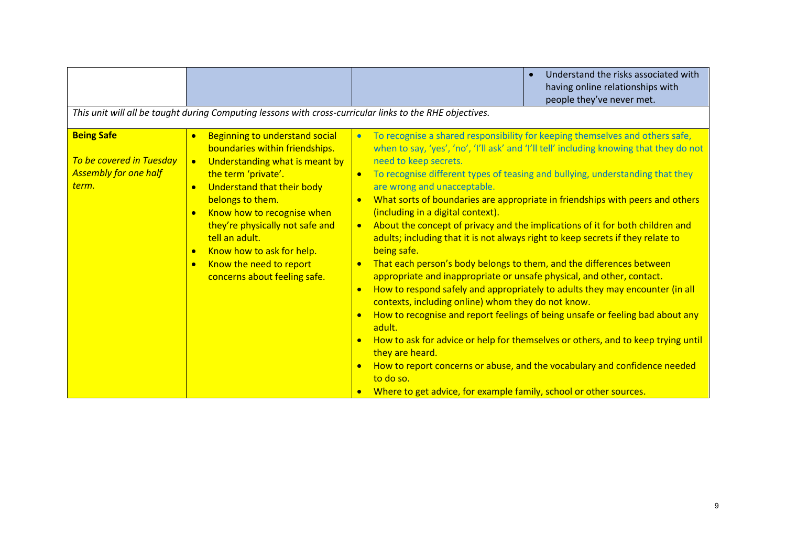|                                                                                        |                                                                                                                                                                                                                                                                                                                                                                                                                                             | Understand the risks associated with<br>having online relationships with<br>people they've never met.                                                                                                                                                                                                                                                                                                                                                                                                                                                                                                                                                                                                                                                                                                                                                                                                                                                                                                                                                                                                                                                                                                                                                                                      |
|----------------------------------------------------------------------------------------|---------------------------------------------------------------------------------------------------------------------------------------------------------------------------------------------------------------------------------------------------------------------------------------------------------------------------------------------------------------------------------------------------------------------------------------------|--------------------------------------------------------------------------------------------------------------------------------------------------------------------------------------------------------------------------------------------------------------------------------------------------------------------------------------------------------------------------------------------------------------------------------------------------------------------------------------------------------------------------------------------------------------------------------------------------------------------------------------------------------------------------------------------------------------------------------------------------------------------------------------------------------------------------------------------------------------------------------------------------------------------------------------------------------------------------------------------------------------------------------------------------------------------------------------------------------------------------------------------------------------------------------------------------------------------------------------------------------------------------------------------|
|                                                                                        | This unit will all be taught during Computing lessons with cross-curricular links to the RHE objectives.                                                                                                                                                                                                                                                                                                                                    |                                                                                                                                                                                                                                                                                                                                                                                                                                                                                                                                                                                                                                                                                                                                                                                                                                                                                                                                                                                                                                                                                                                                                                                                                                                                                            |
| <b>Being Safe</b><br>To be covered in Tuesday<br><b>Assembly for one half</b><br>term. | <b>Beginning to understand social</b><br>$\bullet$<br>boundaries within friendships.<br>Understanding what is meant by<br>$\bullet$<br>the term 'private'.<br>Understand that their body<br>$\bullet$<br>belongs to them.<br>Know how to recognise when<br>$\bullet$<br>they're physically not safe and<br>tell an adult.<br>Know how to ask for help.<br>$\bullet$<br>Know the need to report<br>$\bullet$<br>concerns about feeling safe. | To recognise a shared responsibility for keeping themselves and others safe,<br>$\bullet$<br>when to say, 'yes', 'no', 'I'll ask' and 'I'll tell' including knowing that they do not<br>need to keep secrets.<br>To recognise different types of teasing and bullying, understanding that they<br>are wrong and unacceptable.<br>What sorts of boundaries are appropriate in friendships with peers and others<br>(including in a digital context).<br>About the concept of privacy and the implications of it for both children and<br>$\bullet$<br>adults; including that it is not always right to keep secrets if they relate to<br>being safe.<br>That each person's body belongs to them, and the differences between<br>$\bullet$<br>appropriate and inappropriate or unsafe physical, and other, contact.<br>How to respond safely and appropriately to adults they may encounter (in all<br>$\bullet$<br>contexts, including online) whom they do not know.<br>How to recognise and report feelings of being unsafe or feeling bad about any<br>$\bullet$<br>adult.<br>How to ask for advice or help for themselves or others, and to keep trying until<br>they are heard.<br>How to report concerns or abuse, and the vocabulary and confidence needed<br>$\bullet$<br>to do so. |
|                                                                                        |                                                                                                                                                                                                                                                                                                                                                                                                                                             | Where to get advice, for example family, school or other sources.                                                                                                                                                                                                                                                                                                                                                                                                                                                                                                                                                                                                                                                                                                                                                                                                                                                                                                                                                                                                                                                                                                                                                                                                                          |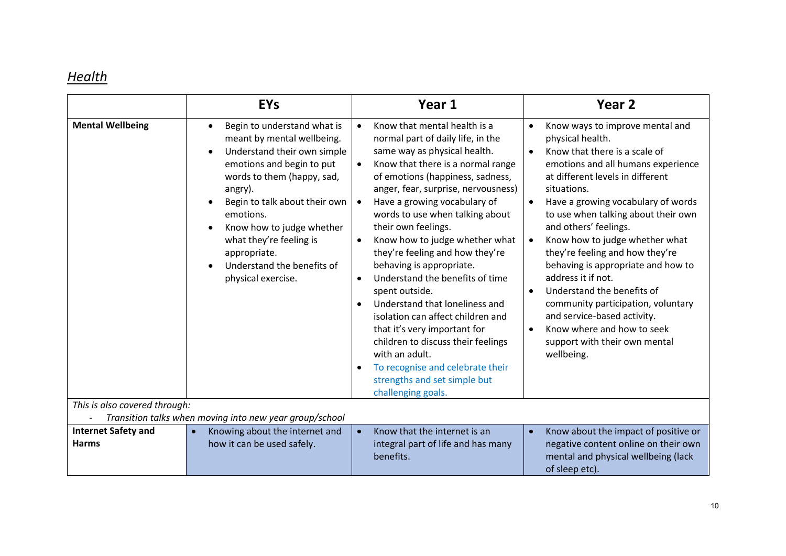## *Health*

|                                                                                          | <b>EYs</b>                                                                                                                                                                                                                                                                                                                                                                                   | Year 1                                                                                                                                                                                                                                                                                                                                                                                                                                                                                                                                                                                                                                                                                                                                                                                                   | Year <sub>2</sub>                                                                                                                                                                                                                                                                                                                                                                                                                                                                                                                                                                                                                                                                  |  |
|------------------------------------------------------------------------------------------|----------------------------------------------------------------------------------------------------------------------------------------------------------------------------------------------------------------------------------------------------------------------------------------------------------------------------------------------------------------------------------------------|----------------------------------------------------------------------------------------------------------------------------------------------------------------------------------------------------------------------------------------------------------------------------------------------------------------------------------------------------------------------------------------------------------------------------------------------------------------------------------------------------------------------------------------------------------------------------------------------------------------------------------------------------------------------------------------------------------------------------------------------------------------------------------------------------------|------------------------------------------------------------------------------------------------------------------------------------------------------------------------------------------------------------------------------------------------------------------------------------------------------------------------------------------------------------------------------------------------------------------------------------------------------------------------------------------------------------------------------------------------------------------------------------------------------------------------------------------------------------------------------------|--|
| <b>Mental Wellbeing</b>                                                                  | Begin to understand what is<br>$\bullet$<br>meant by mental wellbeing.<br>Understand their own simple<br>$\bullet$<br>emotions and begin to put<br>words to them (happy, sad,<br>angry).<br>Begin to talk about their own<br>$\bullet$<br>emotions.<br>Know how to judge whether<br>$\bullet$<br>what they're feeling is<br>appropriate.<br>Understand the benefits of<br>physical exercise. | Know that mental health is a<br>$\bullet$<br>normal part of daily life, in the<br>same way as physical health.<br>Know that there is a normal range<br>$\bullet$<br>of emotions (happiness, sadness,<br>anger, fear, surprise, nervousness)<br>Have a growing vocabulary of<br>$\bullet$<br>words to use when talking about<br>their own feelings.<br>Know how to judge whether what<br>$\bullet$<br>they're feeling and how they're<br>behaving is appropriate.<br>Understand the benefits of time<br>$\bullet$<br>spent outside.<br>Understand that loneliness and<br>isolation can affect children and<br>that it's very important for<br>children to discuss their feelings<br>with an adult.<br>To recognise and celebrate their<br>$\bullet$<br>strengths and set simple but<br>challenging goals. | Know ways to improve mental and<br>$\bullet$<br>physical health.<br>Know that there is a scale of<br>$\bullet$<br>emotions and all humans experience<br>at different levels in different<br>situations.<br>Have a growing vocabulary of words<br>$\bullet$<br>to use when talking about their own<br>and others' feelings.<br>Know how to judge whether what<br>$\bullet$<br>they're feeling and how they're<br>behaving is appropriate and how to<br>address it if not.<br>Understand the benefits of<br>$\bullet$<br>community participation, voluntary<br>and service-based activity.<br>Know where and how to seek<br>$\bullet$<br>support with their own mental<br>wellbeing. |  |
| This is also covered through:<br>Transition talks when moving into new year group/school |                                                                                                                                                                                                                                                                                                                                                                                              |                                                                                                                                                                                                                                                                                                                                                                                                                                                                                                                                                                                                                                                                                                                                                                                                          |                                                                                                                                                                                                                                                                                                                                                                                                                                                                                                                                                                                                                                                                                    |  |
| <b>Internet Safety and</b>                                                               | Knowing about the internet and                                                                                                                                                                                                                                                                                                                                                               | Know that the internet is an<br>$\bullet$                                                                                                                                                                                                                                                                                                                                                                                                                                                                                                                                                                                                                                                                                                                                                                | Know about the impact of positive or<br>$\bullet$                                                                                                                                                                                                                                                                                                                                                                                                                                                                                                                                                                                                                                  |  |
| <b>Harms</b>                                                                             | how it can be used safely.                                                                                                                                                                                                                                                                                                                                                                   | integral part of life and has many<br>benefits.                                                                                                                                                                                                                                                                                                                                                                                                                                                                                                                                                                                                                                                                                                                                                          | negative content online on their own<br>mental and physical wellbeing (lack<br>of sleep etc).                                                                                                                                                                                                                                                                                                                                                                                                                                                                                                                                                                                      |  |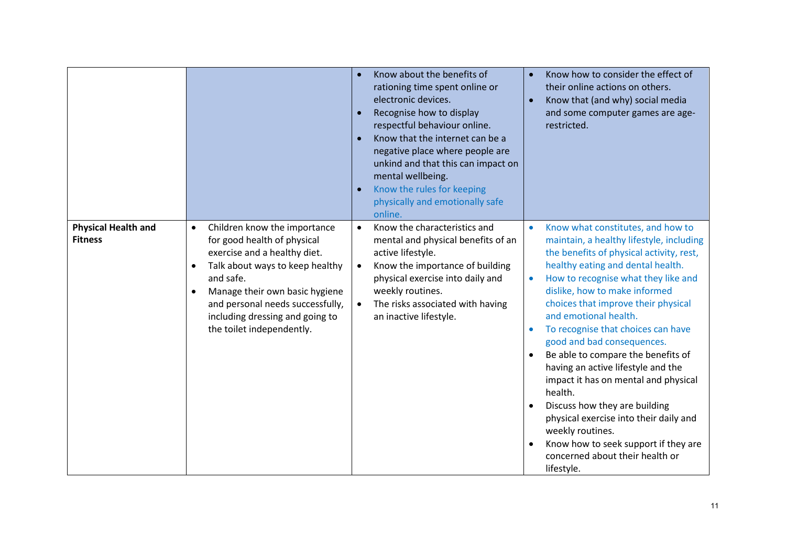|                                              |                                                                                                                                                                                                                                                                                                                          | Know about the benefits of<br>rationing time spent online or<br>electronic devices.<br>Recognise how to display<br>$\bullet$<br>respectful behaviour online.<br>Know that the internet can be a<br>negative place where people are<br>unkind and that this can impact on<br>mental wellbeing.<br>Know the rules for keeping<br>physically and emotionally safe<br>online. | Know how to consider the effect of<br>$\bullet$<br>their online actions on others.<br>Know that (and why) social media<br>$\bullet$<br>and some computer games are age-<br>restricted.                                                                                                                                                                                                                                                                                                                                                                                                                                                                                                                                      |
|----------------------------------------------|--------------------------------------------------------------------------------------------------------------------------------------------------------------------------------------------------------------------------------------------------------------------------------------------------------------------------|---------------------------------------------------------------------------------------------------------------------------------------------------------------------------------------------------------------------------------------------------------------------------------------------------------------------------------------------------------------------------|-----------------------------------------------------------------------------------------------------------------------------------------------------------------------------------------------------------------------------------------------------------------------------------------------------------------------------------------------------------------------------------------------------------------------------------------------------------------------------------------------------------------------------------------------------------------------------------------------------------------------------------------------------------------------------------------------------------------------------|
| <b>Physical Health and</b><br><b>Fitness</b> | Children know the importance<br>$\bullet$<br>for good health of physical<br>exercise and a healthy diet.<br>Talk about ways to keep healthy<br>$\bullet$<br>and safe.<br>Manage their own basic hygiene<br>$\bullet$<br>and personal needs successfully,<br>including dressing and going to<br>the toilet independently. | Know the characteristics and<br>$\bullet$<br>mental and physical benefits of an<br>active lifestyle.<br>Know the importance of building<br>$\bullet$<br>physical exercise into daily and<br>weekly routines.<br>The risks associated with having<br>$\bullet$<br>an inactive lifestyle.                                                                                   | Know what constitutes, and how to<br>$\bullet$<br>maintain, a healthy lifestyle, including<br>the benefits of physical activity, rest,<br>healthy eating and dental health.<br>How to recognise what they like and<br>$\bullet$<br>dislike, how to make informed<br>choices that improve their physical<br>and emotional health.<br>To recognise that choices can have<br>good and bad consequences.<br>Be able to compare the benefits of<br>having an active lifestyle and the<br>impact it has on mental and physical<br>health.<br>Discuss how they are building<br>physical exercise into their daily and<br>weekly routines.<br>Know how to seek support if they are<br>concerned about their health or<br>lifestyle. |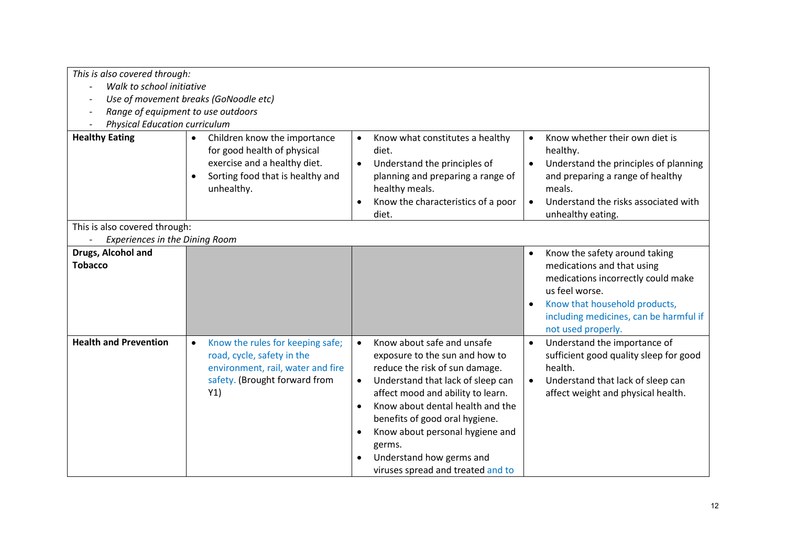| This is also covered through:<br>Walk to school initiative<br>Range of equipment to use outdoors<br><b>Physical Education curriculum</b><br><b>Healthy Eating</b> | Use of movement breaks (GoNoodle etc)<br>Children know the importance<br>for good health of physical<br>exercise and a healthy diet.<br>Sorting food that is healthy and<br>$\bullet$<br>unhealthy. | Know what constitutes a healthy<br>$\bullet$<br>diet.<br>Understand the principles of<br>$\bullet$<br>planning and preparing a range of<br>healthy meals.                                                                                                                                                                                                                                                        | Know whether their own diet is<br>$\bullet$<br>healthy.<br>Understand the principles of planning<br>$\bullet$<br>and preparing a range of healthy<br>meals.                                                                                    |
|-------------------------------------------------------------------------------------------------------------------------------------------------------------------|-----------------------------------------------------------------------------------------------------------------------------------------------------------------------------------------------------|------------------------------------------------------------------------------------------------------------------------------------------------------------------------------------------------------------------------------------------------------------------------------------------------------------------------------------------------------------------------------------------------------------------|------------------------------------------------------------------------------------------------------------------------------------------------------------------------------------------------------------------------------------------------|
|                                                                                                                                                                   |                                                                                                                                                                                                     | Know the characteristics of a poor<br>$\bullet$<br>diet.                                                                                                                                                                                                                                                                                                                                                         | Understand the risks associated with<br>$\bullet$<br>unhealthy eating.                                                                                                                                                                         |
| This is also covered through:<br>Experiences in the Dining Room                                                                                                   |                                                                                                                                                                                                     |                                                                                                                                                                                                                                                                                                                                                                                                                  |                                                                                                                                                                                                                                                |
| Drugs, Alcohol and<br><b>Tobacco</b>                                                                                                                              |                                                                                                                                                                                                     |                                                                                                                                                                                                                                                                                                                                                                                                                  | Know the safety around taking<br>$\bullet$<br>medications and that using<br>medications incorrectly could make<br>us feel worse.<br>Know that household products,<br>$\bullet$<br>including medicines, can be harmful if<br>not used properly. |
| <b>Health and Prevention</b>                                                                                                                                      | Know the rules for keeping safe;<br>$\bullet$<br>road, cycle, safety in the<br>environment, rail, water and fire<br>safety. (Brought forward from<br>Y1)                                            | Know about safe and unsafe<br>$\bullet$<br>exposure to the sun and how to<br>reduce the risk of sun damage.<br>Understand that lack of sleep can<br>$\bullet$<br>affect mood and ability to learn.<br>Know about dental health and the<br>$\bullet$<br>benefits of good oral hygiene.<br>Know about personal hygiene and<br>$\bullet$<br>germs.<br>Understand how germs and<br>viruses spread and treated and to | Understand the importance of<br>$\bullet$<br>sufficient good quality sleep for good<br>health.<br>Understand that lack of sleep can<br>$\bullet$<br>affect weight and physical health.                                                         |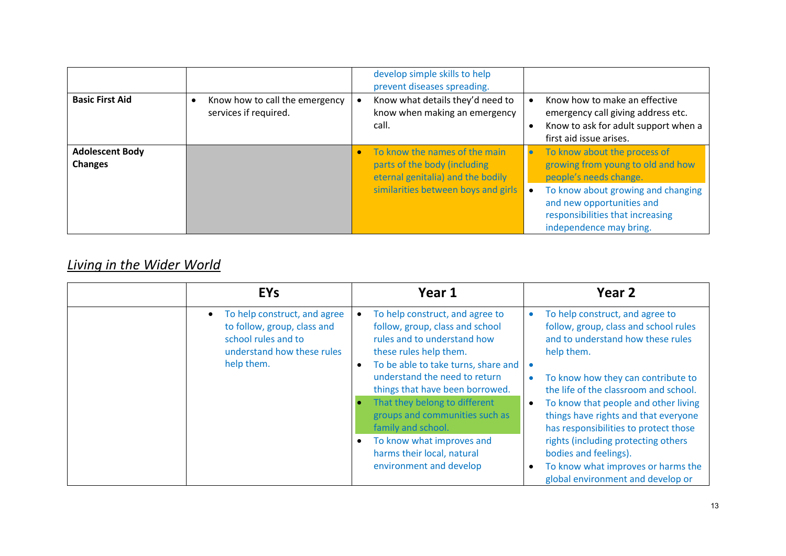| <b>Basic First Aid</b>                   | Know how to call the emergency<br>services if required. | develop simple skills to help<br>prevent diseases spreading.<br>Know what details they'd need to<br>know when making an emergency<br>call. | Know how to make an effective<br>emergency call giving address etc.<br>Know to ask for adult support when a<br>first aid issue arises.                                                                                        |
|------------------------------------------|---------------------------------------------------------|--------------------------------------------------------------------------------------------------------------------------------------------|-------------------------------------------------------------------------------------------------------------------------------------------------------------------------------------------------------------------------------|
| <b>Adolescent Body</b><br><b>Changes</b> |                                                         | To know the names of the main<br>parts of the body (including<br>eternal genitalia) and the bodily<br>similarities between boys and girls  | To know about the process of<br>growing from young to old and how<br>people's needs change.<br>To know about growing and changing<br>and new opportunities and<br>responsibilities that increasing<br>independence may bring. |

# *Living in the Wider World*

| <b>EYs</b>                                                                                                                                  | Year 1                                                                                                                                                                                                                                                                                                                                                                                                                             | Year <sub>2</sub>                                                                                                                                                                                                                                                                                                                                                                                                                                                                           |
|---------------------------------------------------------------------------------------------------------------------------------------------|------------------------------------------------------------------------------------------------------------------------------------------------------------------------------------------------------------------------------------------------------------------------------------------------------------------------------------------------------------------------------------------------------------------------------------|---------------------------------------------------------------------------------------------------------------------------------------------------------------------------------------------------------------------------------------------------------------------------------------------------------------------------------------------------------------------------------------------------------------------------------------------------------------------------------------------|
| To help construct, and agree<br>$\bullet$<br>to follow, group, class and<br>school rules and to<br>understand how these rules<br>help them. | To help construct, and agree to<br>$\bullet$<br>follow, group, class and school<br>rules and to understand how<br>these rules help them.<br>To be able to take turns, share and<br>understand the need to return<br>things that have been borrowed.<br>That they belong to different<br>groups and communities such as<br>family and school.<br>To know what improves and<br>harms their local, natural<br>environment and develop | To help construct, and agree to<br>$\bullet$<br>follow, group, class and school rules<br>and to understand how these rules<br>help them.<br>To know how they can contribute to<br>the life of the classroom and school.<br>To know that people and other living<br>things have rights and that everyone<br>has responsibilities to protect those<br>rights (including protecting others<br>bodies and feelings).<br>To know what improves or harms the<br>global environment and develop or |